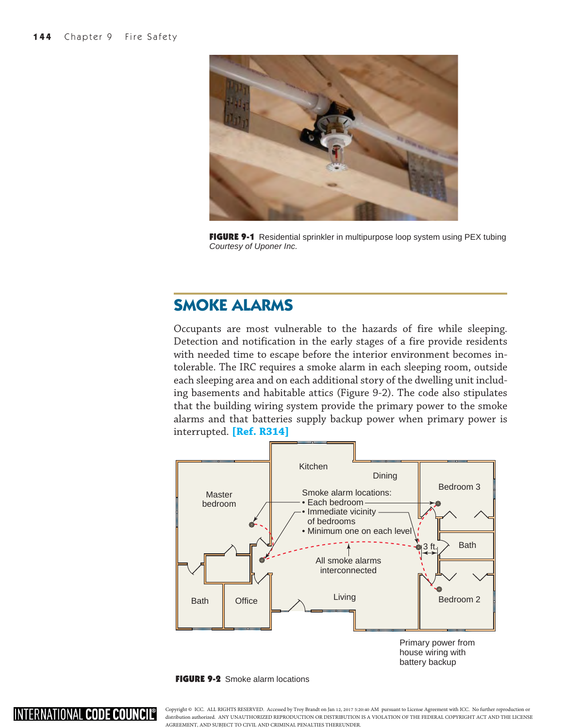INTERNATIONAL CODE COUNCIL®



FIGURE 9-1 Residential sprinkler in multipurpose loop system using PEX tubing *Courtesy of Uponer Inc.*

## **SMOKE ALARMS**

Occupants are most vulnerable to the hazards of fire while sleeping. Detection and notification in the early stages of a fire provide residents with needed time to escape before the interior environment becomes intolerable. The IRC requires a smoke alarm in each sleeping room, outside each sleeping area and on each additional story of the dwelling unit including basements and habitable attics (Figure 9-2). The code also stipulates that the building wiring system provide the primary power to the smoke alarms and that batteries supply backup power when primary power is interrupted. **[Ref. R314]**



FIGURE 9-2 Smoke alarm locations

Copyright © ICC. ALL RIGHTS RESERVED. Accessed by Troy Brandt on Jan 12, 2017 5:20:40 AM pursuant to License Agreement with ICC. No further reproduction or distribution authorized. ANY UNAUTHORIZED REPRODUCTION OR DISTRIBUTION IS A VIOLATION OF THE FEDERAL COPYRIGHT ACT AND THE LICENSE AGREEMENT, AND SUBJECT TO CIVIL AND CRIMINAL PENALTIES THEREUNDER.